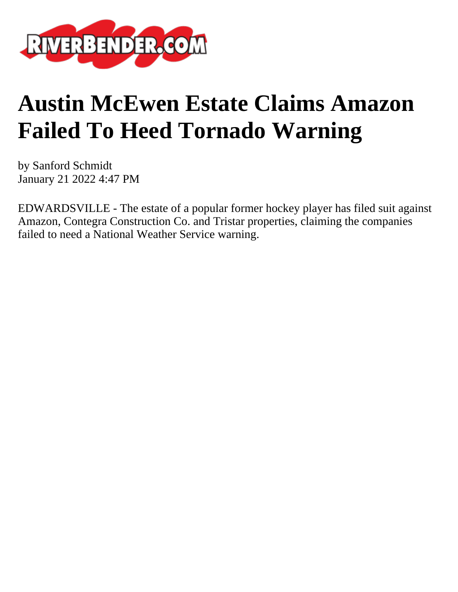

## **Austin McEwen Estate Claims Amazon Failed To Heed Tornado Warning**

by Sanford Schmidt January 21 2022 4:47 PM

EDWARDSVILLE - The estate of a popular former hockey player has filed suit against Amazon, Contegra Construction Co. and Tristar properties, claiming the companies failed to need a National Weather Service warning.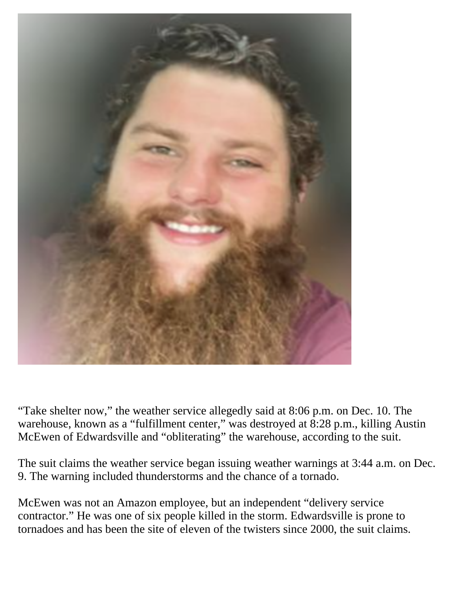

"Take shelter now," the weather service allegedly said at 8:06 p.m. on Dec. 10. The warehouse, known as a "fulfillment center," was destroyed at 8:28 p.m., killing Austin McEwen of Edwardsville and "obliterating" the warehouse, according to the suit.

The suit claims the weather service began issuing weather warnings at 3:44 a.m. on Dec. 9. The warning included thunderstorms and the chance of a tornado.

McEwen was not an Amazon employee, but an independent "delivery service contractor." He was one of six people killed in the storm. Edwardsville is prone to tornadoes and has been the site of eleven of the twisters since 2000, the suit claims.